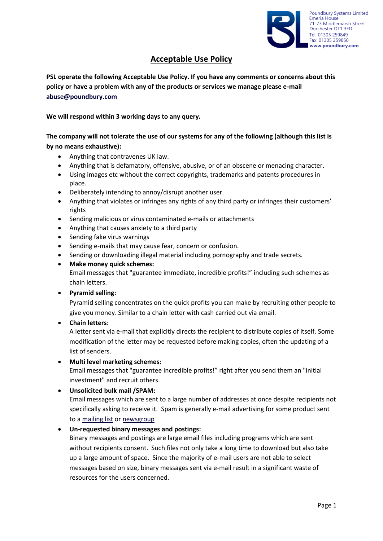

# **Acceptable Use Policy**

**PSL operate the following Acceptable Use Policy. If you have any comments or concerns about this policy or have a problem with any of the products or services we manage please e-mail [abuse@poundbury.com](mailto:abuse@poundbury.com)**

**We will respond within 3 working days to any query.**

**The company will not tolerate the use of our systems for any of the following (although this list is by no means exhaustive):**

- Anything that contravenes UK law.
- Anything that is defamatory, offensive, abusive, or of an obscene or menacing character.
- Using images etc without the correct copyrights, trademarks and patents procedures in place.
- Deliberately intending to annoy/disrupt another user.
- Anything that violates or infringes any rights of any third party or infringes their customers' rights
- Sending malicious or virus contaminated e-mails or attachments
- Anything that causes anxiety to a third party
- Sending fake virus warnings
- Sending e-mails that may cause fear, concern or confusion.
- Sending or downloading illegal material including pornography and trade secrets.
- **Make money quick schemes:**

Email messages that "guarantee immediate, incredible profits!" including such schemes as chain letters.

• **Pyramid selling:**

Pyramid selling concentrates on the quick profits you can make by recruiting other people to give you money. Similar to a chain letter with cash carried out via email.

• **Chain letters:**

A letter sent via e-mail that explicitly directs the recipient to distribute copies of itself. Some modification of the letter may be requested before making copies, often the updating of a list of senders.

• **Multi level marketing schemes:**

Email messages that "guarantee incredible profits!" right after you send them an "initial investment" and recruit others.

#### • **Unsolicited bulk mail /SPAM:**

Email messages which are sent to a large number of addresses at once despite recipients not specifically asking to receive it. Spam is generally e-mail advertising for some product sent to [a mailing list](http://www.webopedia.com/TERM/s/mailing_list.html) o[r newsgroup](http://www.webopedia.com/TERM/s/newsgroup.html)

• **Un-requested binary messages and postings:** 

Binary messages and postings are large email files including programs which are sent without recipients consent. Such files not only take a long time to download but also take up a large amount of space. Since the majority of e-mail users are not able to select messages based on size, binary messages sent via e-mail result in a significant waste of resources for the users concerned.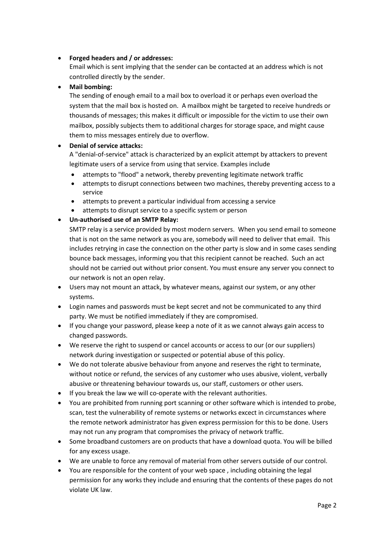## • **Forged headers and / or addresses:**

Email which is sent implying that the sender can be contacted at an address which is not controlled directly by the sender.

#### • **Mail bombing:**

The sending of enough email to a mail box to overload it or perhaps even overload the system that the mail box is hosted on. A mailbox might be targeted to receive hundreds or thousands of messages; this makes it difficult or impossible for the victim to use their own mailbox, possibly subjects them to additional charges for storage space, and might cause them to miss messages entirely due to overflow.

### • **Denial of service attacks:**

A "denial-of-service" attack is characterized by an explicit attempt by attackers to prevent legitimate users of a service from using that service. Examples include

- attempts to "flood" a network, thereby preventing legitimate network traffic
- attempts to disrupt connections between two machines, thereby preventing access to a service
- attempts to prevent a particular individual from accessing a service
- attempts to disrupt service to a specific system or person

### • **Un-authorised use of an SMTP Relay:**

SMTP relay is a service provided by most modern servers. When you send email to someone that is not on the same network as you are, somebody will need to deliver that email. This includes retrying in case the connection on the other party is slow and in some cases sending bounce back messages, informing you that this recipient cannot be reached. Such an act should not be carried out without prior consent. You must ensure any server you connect to our network is not an open relay.

- Users may not mount an attack, by whatever means, against our system, or any other systems.
- Login names and passwords must be kept secret and not be communicated to any third party. We must be notified immediately if they are compromised.
- If you change your password, please keep a note of it as we cannot always gain access to changed passwords.
- We reserve the right to suspend or cancel accounts or access to our (or our suppliers) network during investigation or suspected or potential abuse of this policy.
- We do not tolerate abusive behaviour from anyone and reserves the right to terminate, without notice or refund, the services of any customer who uses abusive, violent, verbally abusive or threatening behaviour towards us, our staff, customers or other users.
- If you break the law we will co-operate with the relevant authorities.
- You are prohibited from running port scanning or other software which is intended to probe, scan, test the vulnerability of remote systems or networks excect in circumstances where the remote network administrator has given express permission for this to be done. Users may not run any program that compromises the privacy of network traffic.
- Some broadband customers are on products that have a download quota. You will be billed for any excess usage.
- We are unable to force any removal of material from other servers outside of our control.
- You are responsible for the content of your web space , including obtaining the legal permission for any works they include and ensuring that the contents of these pages do not violate UK law.